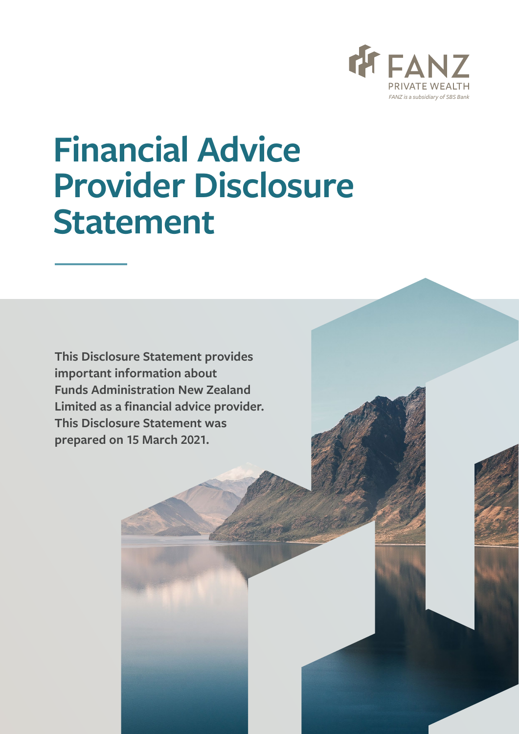

# **Financial Advice Provider Disclosure Statement**

**This Disclosure Statement provides important information about Funds Administration New Zealand Limited as a financial advice provider. This Disclosure Statement was prepared on 15 March 2021.**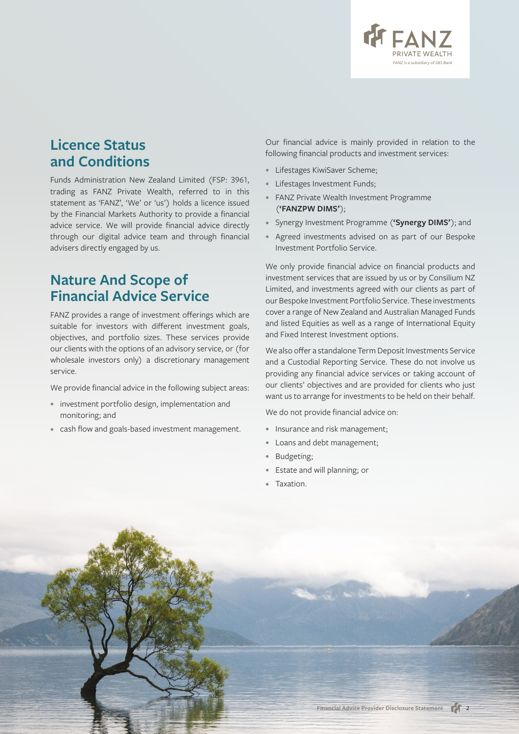

## **Licence Status and Conditions**

Funds Administration New Zealand Limited (FSP: 3961, trading as FANZ Private Wealth, referred to in this statement as 'FANZ', 'We' or 'us') holds a licence issued by the Financial Markets Authority to provide a financial advice service. We will provide financial advice directly through our digital advice team and through financial advisers directly engaged by us.

### **Nature And Scope of Financial Advice Service**

FANZ provides a range of investment offerings which are suitable for investors with different investment goals, objectives, and portfolio sizes. These services provide our clients with the options of an advisory service, or (for wholesale investors only) a discretionary management service.

We provide financial advice in the following subject areas:

- investment portfolio design, implementation and monitoring; and
- cash flow and goals-based investment management.

Our financial advice is mainly provided in relation to the following financial products and investment services:

- Lifestages KiwiSaver Scheme;
- Lifestages Investment Funds;
- FANZ Private Wealth Investment Programme (**'FANZPW DIMS'**);
- Synergy Investment Programme (**'Synergy DIMS'**); and
- Agreed investments advised on as part of our Bespoke Investment Portfolio Service.

We only provide financial advice on financial products and investment services that are issued by us or by Consilium NZ Limited, and investments agreed with our clients as part of our Bespoke Investment Portfolio Service. These investments cover a range of New Zealand and Australian Managed Funds and listed Equities as well as a range of International Equity and Fixed Interest Investment options.

We also offer a standalone Term Deposit Investments Service and a Custodial Reporting Service. These do not involve us providing any financial advice services or taking account of our clients' objectives and are provided for clients who just want us to arrange for investments to be held on their behalf.

We do not provide financial advice on:

- Insurance and risk management;
- Loans and debt management;
- Budgeting;
- Estate and will planning; or
- Taxation.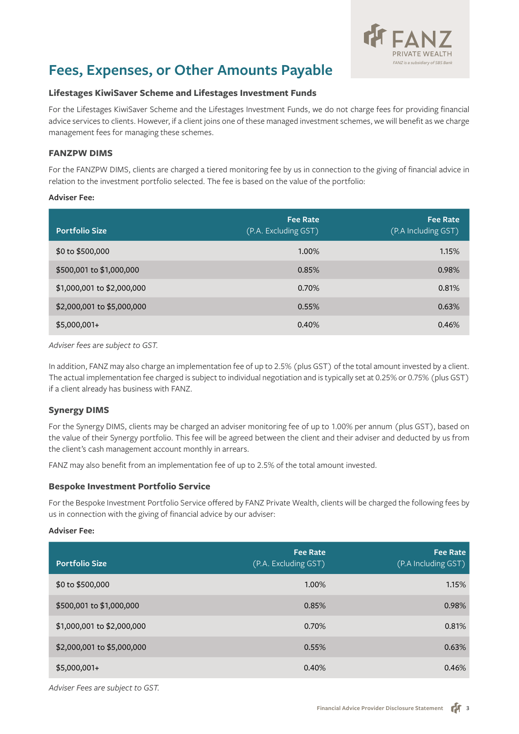

## **Fees, Expenses, or Other Amounts Payable**

#### **Lifestages KiwiSaver Scheme and Lifestages Investment Funds**

For the Lifestages KiwiSaver Scheme and the Lifestages Investment Funds, we do not charge fees for providing financial advice services to clients. However, if a client joins one of these managed investment schemes, we will benefit as we charge management fees for managing these schemes.

#### **FANZPW DIMS**

For the FANZPW DIMS, clients are charged a tiered monitoring fee by us in connection to the giving of financial advice in relation to the investment portfolio selected. The fee is based on the value of the portfolio:

#### **Adviser Fee:**

| <b>Portfolio Size</b>      | <b>Fee Rate</b><br>(P.A. Excluding GST) | <b>Fee Rate</b><br>(P.A Including GST) |
|----------------------------|-----------------------------------------|----------------------------------------|
| \$0 to \$500,000           | 1.00%                                   | 1.15%                                  |
| \$500,001 to \$1,000,000   | 0.85%                                   | 0.98%                                  |
| \$1,000,001 to \$2,000,000 | 0.70%                                   | 0.81%                                  |
| \$2,000,001 to \$5,000,000 | 0.55%                                   | 0.63%                                  |
| $$5,000,001+$              | 0.40%                                   | 0.46%                                  |

*Adviser fees are subject to GST.*

In addition, FANZ may also charge an implementation fee of up to 2.5% (plus GST) of the total amount invested by a client. The actual implementation fee charged is subject to individual negotiation and is typically set at 0.25% or 0.75% (plus GST) if a client already has business with FANZ.

#### **Synergy DIMS**

For the Synergy DIMS, clients may be charged an adviser monitoring fee of up to 1.00% per annum (plus GST), based on the value of their Synergy portfolio. This fee will be agreed between the client and their adviser and deducted by us from the client's cash management account monthly in arrears.

FANZ may also benefit from an implementation fee of up to 2.5% of the total amount invested.

#### **Bespoke Investment Portfolio Service**

For the Bespoke Investment Portfolio Service offered by FANZ Private Wealth, clients will be charged the following fees by us in connection with the giving of financial advice by our adviser:

#### **Adviser Fee:**

| <b>Portfolio Size</b>      | <b>Fee Rate</b><br>(P.A. Excluding GST) | <b>Fee Rate</b><br>(P.A Including GST) |
|----------------------------|-----------------------------------------|----------------------------------------|
| \$0 to \$500,000           | 1.00%                                   | 1.15%                                  |
| \$500,001 to \$1,000,000   | 0.85%                                   | 0.98%                                  |
| \$1,000,001 to \$2,000,000 | 0.70%                                   | 0.81%                                  |
| \$2,000,001 to \$5,000,000 | 0.55%                                   | 0.63%                                  |
| $$5,000,001+$              | 0.40%                                   | 0.46%                                  |

*Adviser Fees are subject to GST.*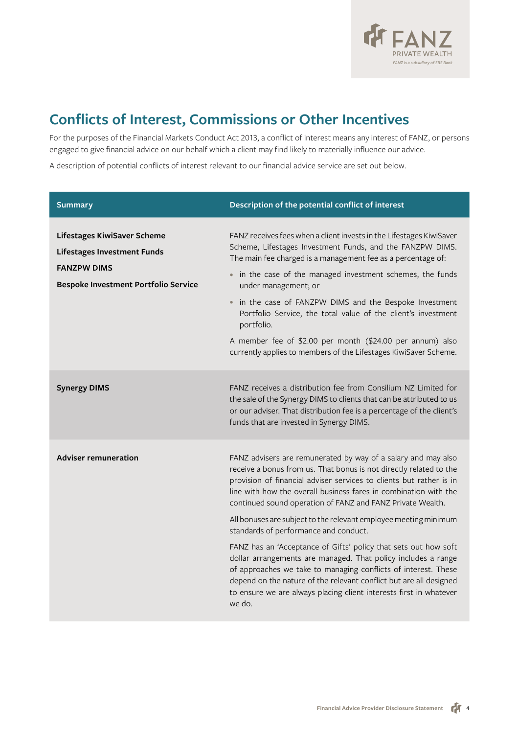

## **Conflicts of Interest, Commissions or Other Incentives**

For the purposes of the Financial Markets Conduct Act 2013, a conflict of interest means any interest of FANZ, or persons engaged to give financial advice on our behalf which a client may find likely to materially influence our advice.

A description of potential conflicts of interest relevant to our financial advice service are set out below.

| <b>Summary</b>                                                                                                                         | Description of the potential conflict of interest                                                                                                                                                                                                                                                                                                                                                                                                                                                                                                                                                                                                                                                                                                                                                                     |
|----------------------------------------------------------------------------------------------------------------------------------------|-----------------------------------------------------------------------------------------------------------------------------------------------------------------------------------------------------------------------------------------------------------------------------------------------------------------------------------------------------------------------------------------------------------------------------------------------------------------------------------------------------------------------------------------------------------------------------------------------------------------------------------------------------------------------------------------------------------------------------------------------------------------------------------------------------------------------|
| Lifestages KiwiSaver Scheme<br><b>Lifestages Investment Funds</b><br><b>FANZPW DIMS</b><br><b>Bespoke Investment Portfolio Service</b> | FANZ receives fees when a client invests in the Lifestages KiwiSaver<br>Scheme, Lifestages Investment Funds, and the FANZPW DIMS.<br>The main fee charged is a management fee as a percentage of:<br>• in the case of the managed investment schemes, the funds<br>under management; or<br>in the case of FANZPW DIMS and the Bespoke Investment<br>Portfolio Service, the total value of the client's investment<br>portfolio.<br>A member fee of \$2.00 per month (\$24.00 per annum) also<br>currently applies to members of the Lifestages KiwiSaver Scheme.                                                                                                                                                                                                                                                      |
| <b>Synergy DIMS</b>                                                                                                                    | FANZ receives a distribution fee from Consilium NZ Limited for<br>the sale of the Synergy DIMS to clients that can be attributed to us<br>or our adviser. That distribution fee is a percentage of the client's<br>funds that are invested in Synergy DIMS.                                                                                                                                                                                                                                                                                                                                                                                                                                                                                                                                                           |
| <b>Adviser remuneration</b>                                                                                                            | FANZ advisers are remunerated by way of a salary and may also<br>receive a bonus from us. That bonus is not directly related to the<br>provision of financial adviser services to clients but rather is in<br>line with how the overall business fares in combination with the<br>continued sound operation of FANZ and FANZ Private Wealth.<br>All bonuses are subject to the relevant employee meeting minimum<br>standards of performance and conduct.<br>FANZ has an 'Acceptance of Gifts' policy that sets out how soft<br>dollar arrangements are managed. That policy includes a range<br>of approaches we take to managing conflicts of interest. These<br>depend on the nature of the relevant conflict but are all designed<br>to ensure we are always placing client interests first in whatever<br>we do. |